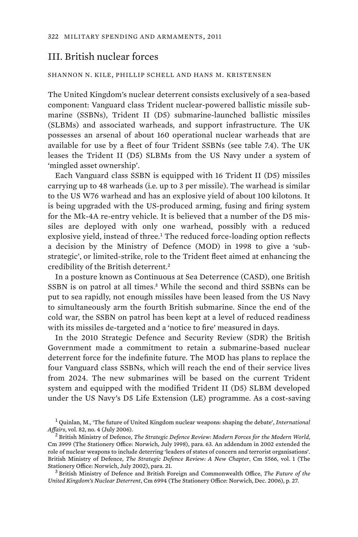## III. British nuclear forces

## SHANNON N. KILE, PHILLIP SCHELL AND HANS M. KRISTENSEN

The United Kingdom's nuclear deterrent consists exclusively of a sea-based component: Vanguard class Trident nuclear-powered ballistic missile submarine (SSBNs), Trident II (D5) submarine-launched ballistic missiles (SLBMs) and associated warheads, and support infrastructure. The UK possesses an arsenal of about 160 operational nuclear warheads that are available for use by a fleet of four Trident SSBNs (see table 7.4). The UK leases the Trident II (D5) SLBMs from the US Navy under a system of 'mingled asset ownership'.

Each Vanguard class SSBN is equipped with 16 Trident II (D5) missiles carrying up to 48 warheads (i.e. up to 3 per missile). The warhead is similar to the US W76 warhead and has an explosive yield of about 100 kilotons. It is being upgraded with the US-produced arming, fusing and firing system for the Mk-4A re-entry vehicle. It is believed that a number of the D5 missiles are deployed with only one warhead, possibly with a reduced explosive yield, instead of three.<sup>1</sup> The reduced force-loading option reflects a decision by the Ministry of Defence (MOD) in 1998 to give a 'substrategic', or limited-strike, role to the Trident fleet aimed at enhancing the credibility of the British deterrent.<sup>2</sup>

In a posture known as Continuous at Sea Deterrence (CASD), one British SSBN is on patrol at all times.<sup>3</sup> While the second and third SSBNs can be put to sea rapidly, not enough missiles have been leased from the US Navy to simultaneously arm the fourth British submarine. Since the end of the cold war, the SSBN on patrol has been kept at a level of reduced readiness with its missiles de-targeted and a 'notice to fire' measured in days.

In the 2010 Strategic Defence and Security Review (SDR) the British Government made a commitment to retain a submarine-based nuclear deterrent force for the indefinite future. The MOD has plans to replace the four Vanguard class SSBNs, which will reach the end of their service lives from 2024. The new submarines will be based on the current Trident system and equipped with the modified Trident II (D5) SLBM developed under the US Navy's D5 Life Extension (LE) programme. As a cost-saving

*United Kingdom's Nuclear Deterrent*, Cm 6994 (The Stationery Office: Norwich, Dec. 2006), p. 27.

<sup>1</sup>Quinlan, M., 'The future of United Kingdom nuclear weapons: shaping the debate', *International Affairs*, vol. 82, no. 4 (July 2006). 2 British Ministry of Defence, *The Strategic Defence Review: Modern Forces for the Modern World*,

Cm 3999 (The Stationery Office: Norwich, July 1998), para. 63. An addendum in 2002 extended the role of nuclear weapons to include deterring 'leaders of states of concern and terrorist organisations'. British Ministry of Defence, *The Strategic Defence Review: A New Chapter*, Cm 5566, vol. 1 (The Stationery Office: Norwich, July 2002), para. 21. 3 British Ministry of Defence and British Foreign and Commonwealth Office, *The Future of the*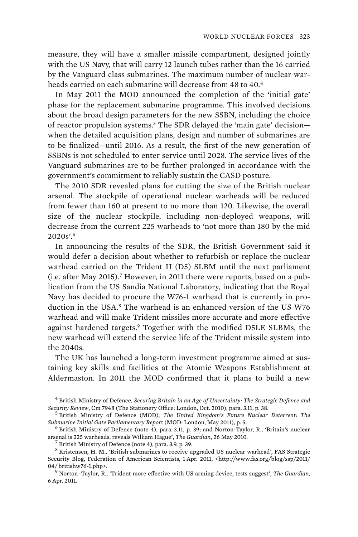measure, they will have a smaller missile compartment, designed jointly with the US Navy, that will carry 12 launch tubes rather than the 16 carried by the Vanguard class submarines. The maximum number of nuclear warheads carried on each submarine will decrease from 48 to 40.4

In May 2011 the MOD announced the completion of the 'initial gate' phase for the replacement submarine programme. This involved decisions about the broad design parameters for the new SSBN, including the choice of reactor propulsion systems.<sup>5</sup> The SDR delayed the 'main gate' decision when the detailed acquisition plans, design and number of submarines are to be finalized—until 2016. As a result, the first of the new generation of SSBNs is not scheduled to enter service until 2028. The service lives of the Vanguard submarines are to be further prolonged in accordance with the government's commitment to reliably sustain the CASD posture.

The 2010 SDR revealed plans for cutting the size of the British nuclear arsenal. The stockpile of operational nuclear warheads will be reduced from fewer than 160 at present to no more than 120. Likewise, the overall size of the nuclear stockpile, including non-deployed weapons, will decrease from the current 225 warheads to 'not more than 180 by the mid 2020s'.<sup>6</sup>

In announcing the results of the SDR, the British Government said it would defer a decision about whether to refurbish or replace the nuclear warhead carried on the Trident II (D5) SLBM until the next parliament (i.e. after May 2015).<sup>7</sup> However, in 2011 there were reports, based on a publication from the US Sandia National Laboratory, indicating that the Royal Navy has decided to procure the W76-1 warhead that is currently in production in the USA. $8$  The warhead is an enhanced version of the US W76 warhead and will make Trident missiles more accurate and more effective against hardened targets.<sup>9</sup> Together with the modified D5LE SLBMs, the new warhead will extend the service life of the Trident missile system into the 2040s.

The UK has launched a long-term investment programme aimed at sustaining key skills and facilities at the Atomic Weapons Establishment at Aldermaston. In 2011 the MOD confirmed that it plans to build a new

<sup>4</sup> British Ministry of Defence, *Securing Britain in an Age of Uncertainty: The Strategic Defence and Security Review*, Cm 7948 (The Stationery Office: London, Oct. 2010), para. 3.11, p. 38.

British Ministry of Defence (MOD), *The United Kingdom's Future Nuclear Deterrent: The*  Submarine Initial Gate Parliamentary Report (MOD: London, May 2011), p. 5.

 $6$  British Ministry of Defence (note 4), para. 3.11, p. 39; and Norton-Taylor, R., 'Britain's nuclear arsenal is 225 warheads, reveals William Hague', *The Guardian*, 26 May 2010. 7 British Ministry of Defence (note 4), para. 3.9, p. 39.

<sup>8</sup> Kristensen, H. M., 'British submarines to receive upgraded US nuclear warhead', FAS Strategic Security Blog, Federation of American Scientists, 1 Apr. 2011, <http://www.fas.org/blog/ssp/2011/ 04/ britishw76-1.php>.

Norton–Taylor, R., 'Trident more effective with US arming device, tests suggest', *The Guardian*, 6 Apr. 2011.